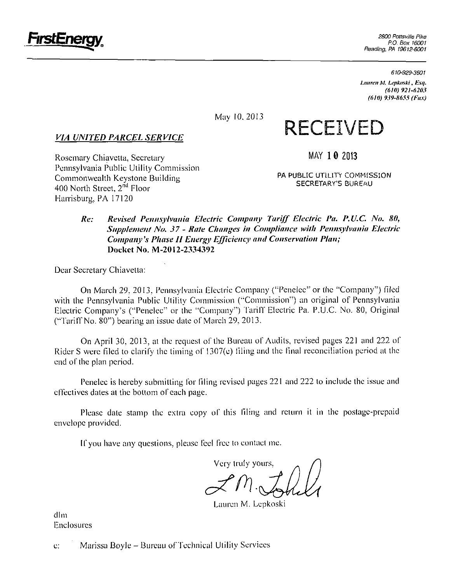

*610-929-3601* 

*Lmireit M. Lepkoski, Esq. (610) 921-6203 (610) 939-S6SS (FIIX)* 

May 10.2013

### *VIA UNITED PARCEL SERVICE*

**MAY 1 0 2013** 

**RECEIVED** 

Rosemary Chiavetta, Secretary Pennsylvania Public Utility Commission Commonwealth Keystone Building 400 North Street, 2<sup>nd</sup> Floor Harrisburg, PA 17120

PA PUBLIC UTILITY COMMISSION SECRETARY'S BUREAU

#### **Re: Revised Pennsylvania Electric Company Tariff Electric Pa. P.U.C. No. 80, Supplement No. 37 - Rate Changes in Compliance with Pennsylvania Electric Company's Phase II Energy Efficiency and Conservation Plan; Docket No. M-20I2-2334392**

Dear Secretary Chiavetta:

On March 29, 2013, Pennsylvania Llectric Company ("Penelec" or the "Company") filed with the Pennsylvania Public Utility Commission ("Commission") an original of Pennsylvania Electric Company's ("Penelec" or the "'Company") Tariff Electric Pa. P.U.C. No. 80. Original ("Tariff No. 80") bearing an issue date of March 29, 2013.

On April 30, 2013, at the request of the Bureau of Audits, revised pages 221 and 222 of Rider S were filed to clarify the timing of 1307(e) filing and the final reconciliation period al the end of the plan period.

Penelec is hereby submitting for filing revised pages 221 and 222 lo include the issue and effectives dates al the bottom of each page.

Please date stamp the extra copy of this filing and return it in the postage-prepaid envelope provided.

If you have any questions, please feel free to contact me.

Very Iruly yours.

Lauren M. Lepkoski

dim Enclosures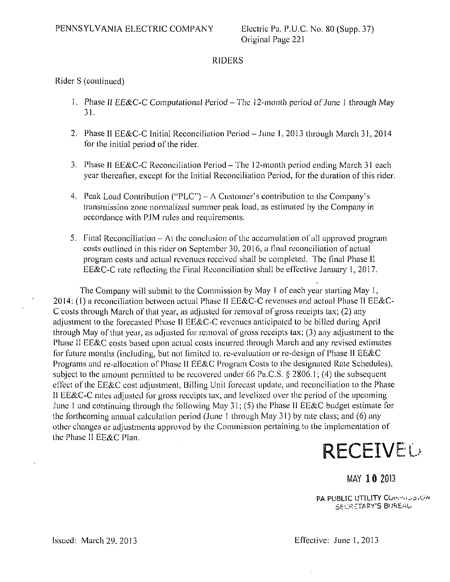#### RIDERS

#### Rider S (conlinued)

- 1. Phase II EE&C-C Computational Period The 12-month period of June 1 through May 31.
- 2. Phase II EE&C-C Initial Reconciliation Period June 1, 2013 through March 31, 2014 for the initial period of the rider.
- 3. Phase II EE&C-C Reconciliation Period The 12-month period ending March 31 each year thereafter, except for the Initial Reconciliation Period, for the duration of this rider.
- 4. Peak Load Contribution ("PLC") A Customer's contribution to the Company's transmission zone normalized summer peak load, as estimated by the Company in accordance with PJM rules and requirements.
- 5. Final Reconciliation Al the conclusion of the accumulation of all approved program costs outlined in this rider on September 30, 2016, a final reconciliation of actual program costs and actual revenues received shall be completed. The final Phase II EE&C-C rate reflecting the Final Reconciliation shall be effective January 1, 2017.

The Company will submit to the Commission by May 1 of each year starting May 1, 2014: (1) a reconciliation between actual Phase II EE&C-C revenues and actual Phase II EE&C-C costs Ihrough March of that year, as adjusted for removal of gross receipts tax; (2) any adjustment lo the forecasted Phase II EE&C-C revenues anticipated to be billed during April through May of lhat year, as adjusled for removal of gross receipts lax; (3) any adjustment to the Phase II EE&C costs based upon actual costs incurred through March and any revised estimates for future months (including, but not limited to, re-evaluation or re-design of Phase II EE&C Programs and re-allocation of Phase II EE&C Program Costs to the designated Rate Schedules), subject to the amount permitted to be recovered under 66 Pa.C.S. § 2806.1; (4) the subsequent effect of the EE&C cost adjustment, Billing Unit forecast update, and reconciliation to the Phase II EE&C-C rales adjusted for gross receipts lax, and levelized over the period of the upcoming June 1 and continuing through the following May  $31$ ; (5) the Phase II EE&C budget estimate for the forthcoming annual calculation period (June I through May 31) by rate class; and (6) any other changes or adjustments approved by the Commission pertaining to Ihe implementation of the Phase II EE&C Plan.



## MAY 10 2013

PA PUBLIC UTILITY COMMODERA SECRETARY'S BUREAU.

Issued: March 29, 2013 Effective: June 1,2013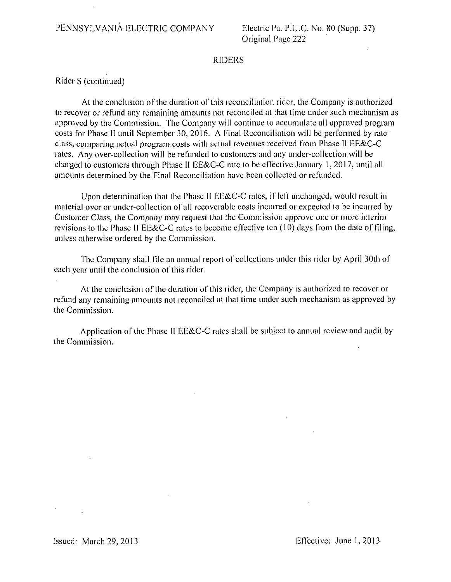#### RIDERS

Rider S (continued)

At the conclusion of the duration of this reconciliation rider, the Company is authorized lo recover or refund any remaining amounts not reconciled al that time under such mechanism as approved by the Commission. The Company will continue lo accumulate all approved program costs for Phase II until September 30, 2016. A Pinal Reconciliation will be performed by rate class, comparing actual program costs wilh aclual revenues received from Phase II EE&C-C rales. Any over-collection will be refunded to customers and any under-collection will be charged to customers through Phase II EE&C-C rate to be effeclive January 1, 2017, until all amounts determined by the Final Reconciliation have been collected or refunded.

Upon determination thai the Phase II EE&C-C rates, if left unchanged, would result in material over or under-collection of all recoverable costs incurred or expected to be incurred by Cuslomer Class, the Company may request thai the Commission approve one or more interim revisions to the Phase II EE&C-C rates to become effective ten (10) days from the date of filing, unless otherwise ordered by the Commission.

The Company shall file an annual report of collections under this rider by April 30lh of each year until the conclusion of this rider.

At the conclusion of the duration of this rider, the Company is authorized to recover or refund any remaining amounts not reconciled at lhat lime under such mechanism as approved by the Commission.

Application of the Phase II EE&C-C rales shall be subject to annual review and audit by the Commission.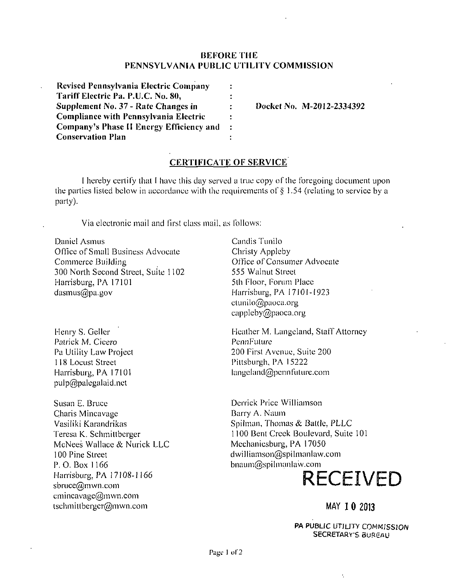#### **BEFORE THE PENNSYLVANIA PUBLIC UTILITY COMMISSION**

| <b>Revised Pennsylvania Electric Company</b> | ÷ |
|----------------------------------------------|---|
| Tariff Electric Pa. P.U.C. No. 80,           |   |
| Supplement No. 37 - Rate Changes in          | ÷ |
| <b>Compliance with Pennsylvania Electric</b> | : |
| Company's Phase II Energy Efficiency and     | ÷ |
| <b>Conservation Plan</b>                     |   |

**DocketNo. M-2012-2334392** 

#### **CERTIFICATE OF SERVICE**

I hereby certify lhal I have this day served a true copy of the foregoing document upon the parties listed below in accordance with the requirements of § 1.54 (relating to service by a party).

Via electronic mail and first class mail, as follows:

Daniel Asmus Office of Small Business Advocate Commerce Building 300 North Second Street, Suite 1102 Harrisburg, PA 17101 dasmus@pa.gov

Henry S. Geller Patrick M. Cicero Pa Utility Law Project 118 Locust Street Harrisburg, PA 17101  $pulp@palegalaid.net$ 

Susan B. Bruce Charis Mincavage Vasiliki Karandrikas Teresa K. Schmittberger McNees Wallace & Nurick LLC 100 Pine Street P. O. Box 1166 Harrisburg, PA 17108-1166 sbruce@mwn.com cmincavage@mwn.com tschmiltberger@mwn.com

Candis Tunilo Christy Appleby Office of Consumer Advocate 555 Walnut Street 5lh floor, Forum Place Harrisburg, PA 17101-1923 ctunilo@paoea.org eappleby@paoca.org

Heather M. Langeland, Staff Attorney PennFuture 200 First Avenue, Suite 200 Pittsburgh, PA 15222 langeland@pcnnfulure.com

Derrick Price Williamson Barry A. Naum Spilman, Thomas & Battle, PLLC 1100 Bent Creek Boulevard, Suite 101 Mechanicsburg, PA 17050 dwilliamson@spilmanlaw.com bnaum@spilmanlaw.com

# **RECEIVED**

#### MAY 1 0 2013

PA PUBLIC UTJLITY COMMISSION SECRETARY'S BUREAU

ł,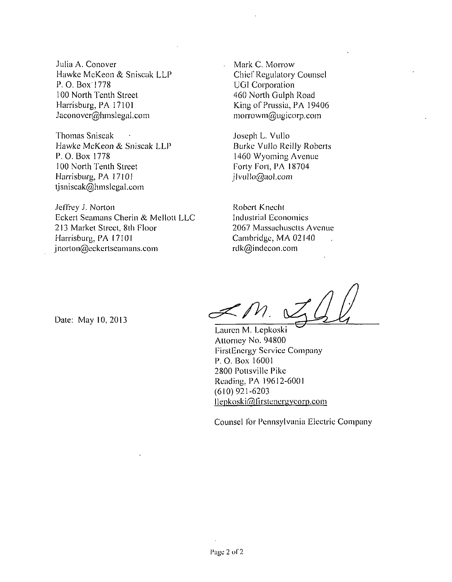Julia A. Conover Hawke McKeon & Sniscak LLP P. 0. Box 1778 100 North Tenth Street Harrisburg, PA 17101 Jaconover@hmslegal.com

Thomas Sniscak Hawke McKeon & Sniscak LLP P. 0. Box 1778 100 North Tenth Street Harrisburg, PA 17101 tjsniscak@hmslegal.com

Jeffrey J. Norton Eckert Seamans Cherin & Mellott LLC 213 Market Street, 8lh Floor Harrisburg, PA 17101 jnorton@eckerlseamans.com

Mark C. Morrow Chief Regulatory Counsel UG1 Corporation 460 North Gulph Road King of Prussia, PA 19406 morrowm@ugicorp.com

Joseph L. Vullo Burke Vullo Reilly Roberts 1460 Wyoming Avenue Forty Fort, PA 18704 jlvullo@aol.com

Robert Kneeht Industrial Economics 2067 Massachusetts Avenue Cambridge, MA 02140 rdk@indecon.com

 $\not\preceq$  /  $\vee$ 

Date: May 10,2013

Lauren M. Lepkoski Attorney No. 94800 FirstEnergy Service Company P. 0. Box 16001 2800 Pottsville Pike Reading, PA 19612-6001 (610) 921-6203 llepkoski@firstenergycorp.com

Counsel for Pennsylvania Electric Company